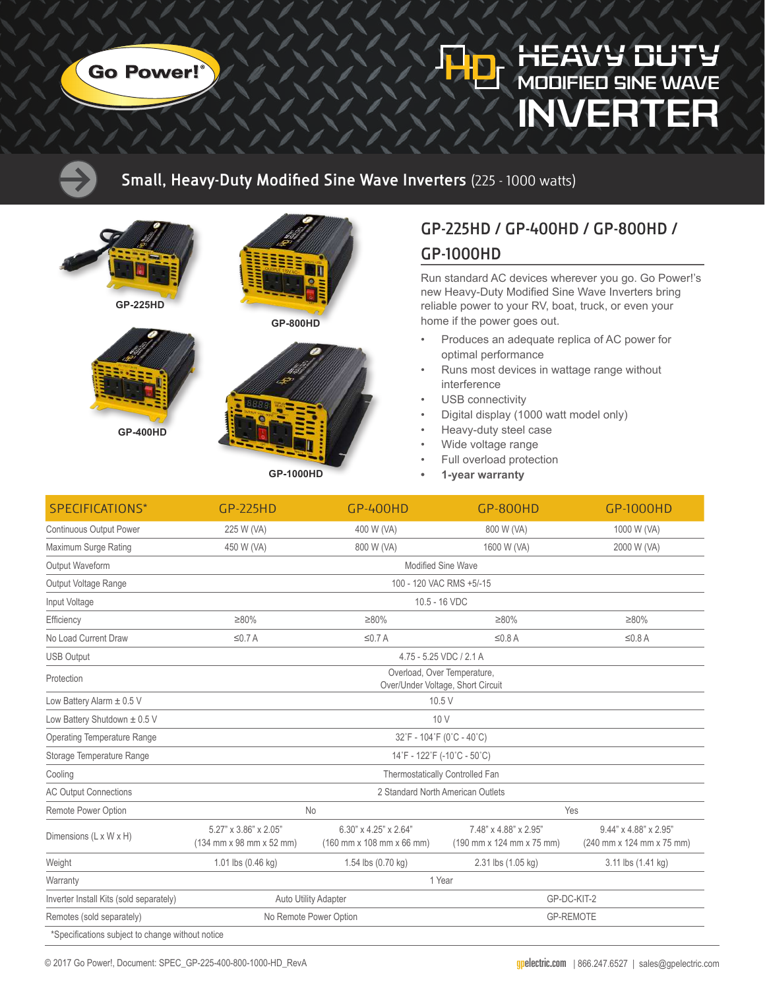

## MODIFIED SINE WAVE INVERTER

#### **Small, Heavy-Duty Modified Sine Wave Inverters** (225 - 1000 watts)



**GP-225HD**



**GP-800HD**





**GP-1000HD**

## **GP-225HD / GP-400HD / GP-800HD / GP-1000HD**

Run standard AC devices wherever you go. Go Power!'s new Heavy-Duty Modified Sine Wave Inverters bring reliable power to your RV, boat, truck, or even your home if the power goes out.

- Produces an adequate replica of AC power for optimal performance
- Runs most devices in wattage range without interference
- USB connectivity
- Digital display (1000 watt model only)
- Heavy-duty steel case
- Wide voltage range
- Full overload protection
- **• 1-year warranty**

| SPECIFICATIONS*                                  | <b>GP-225HD</b>                                                  | <b>GP-400HD</b>                                    | <b>GP-800HD</b>                                    | GP-1000HD                                          |
|--------------------------------------------------|------------------------------------------------------------------|----------------------------------------------------|----------------------------------------------------|----------------------------------------------------|
| <b>Continuous Output Power</b>                   | 225 W (VA)                                                       | 400 W (VA)                                         | 800 W (VA)                                         | 1000 W (VA)                                        |
| Maximum Surge Rating                             | 450 W (VA)                                                       | 800 W (VA)                                         | 1600 W (VA)                                        | 2000 W (VA)                                        |
| Output Waveform                                  | Modified Sine Wave                                               |                                                    |                                                    |                                                    |
| Output Voltage Range                             | 100 - 120 VAC RMS +5/-15                                         |                                                    |                                                    |                                                    |
| Input Voltage                                    | 10.5 - 16 VDC                                                    |                                                    |                                                    |                                                    |
| Efficiency                                       | $\geq 80\%$                                                      | $\geq 80\%$                                        | $\geq 80\%$                                        | $\geq 80\%$                                        |
| No Load Current Draw                             | $\leq$ 0.7 A                                                     | $\leq$ 0.7 A                                       | $\leq$ 0.8 A                                       | $\leq$ 0.8 A                                       |
| <b>USB Output</b>                                | 4.75 - 5.25 VDC / 2.1 A                                          |                                                    |                                                    |                                                    |
| Protection                                       | Overload, Over Temperature,<br>Over/Under Voltage, Short Circuit |                                                    |                                                    |                                                    |
| Low Battery Alarm ± 0.5 V                        | 10.5 V                                                           |                                                    |                                                    |                                                    |
| Low Battery Shutdown ± 0.5 V                     | 10V                                                              |                                                    |                                                    |                                                    |
| Operating Temperature Range                      | 32°F - 104°F (0°C - 40°C)                                        |                                                    |                                                    |                                                    |
| Storage Temperature Range                        | 14°F - 122°F (-10°C - 50°C)                                      |                                                    |                                                    |                                                    |
| Cooling                                          | Thermostatically Controlled Fan                                  |                                                    |                                                    |                                                    |
| <b>AC Output Connections</b>                     | 2 Standard North American Outlets                                |                                                    |                                                    |                                                    |
| Remote Power Option                              | <b>No</b>                                                        |                                                    | Yes                                                |                                                    |
| Dimensions (L x W x H)                           | 5.27" x 3.86" x 2.05"<br>(134 mm x 98 mm x 52 mm)                | 6.30" x 4.25" x 2.64"<br>(160 mm x 108 mm x 66 mm) | 7.48" x 4.88" x 2.95"<br>(190 mm x 124 mm x 75 mm) | 9.44" x 4.88" x 2.95"<br>(240 mm x 124 mm x 75 mm) |
| Weight                                           | 1.01 lbs (0.46 kg)                                               | 1.54 lbs (0.70 kg)                                 | 2.31 lbs (1.05 kg)                                 | 3.11 lbs (1.41 kg)                                 |
| Warranty                                         | 1 Year                                                           |                                                    |                                                    |                                                    |
| Inverter Install Kits (sold separately)          | Auto Utility Adapter                                             |                                                    | GP-DC-KIT-2                                        |                                                    |
| Remotes (sold separately)                        | No Remote Power Option                                           |                                                    | <b>GP-REMOTE</b>                                   |                                                    |
| *Specifications subject to change without notice |                                                                  |                                                    |                                                    |                                                    |